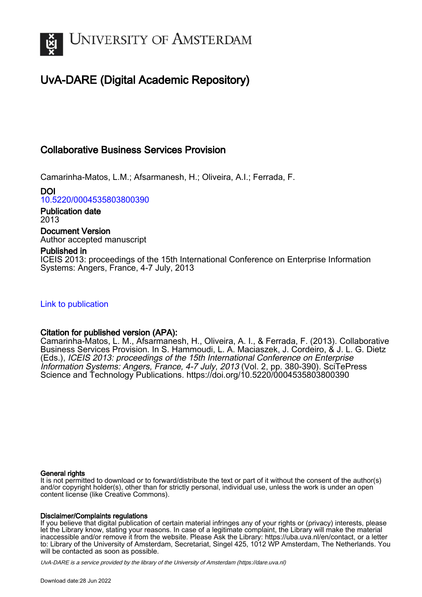

# UvA-DARE (Digital Academic Repository)

## Collaborative Business Services Provision

Camarinha-Matos, L.M.; Afsarmanesh, H.; Oliveira, A.I.; Ferrada, F.

DOI [10.5220/0004535803800390](https://doi.org/10.5220/0004535803800390)

Publication date 2013

## Document Version

Author accepted manuscript

## Published in

ICEIS 2013: proceedings of the 15th International Conference on Enterprise Information Systems: Angers, France, 4-7 July, 2013

[Link to publication](https://dare.uva.nl/personal/pure/en/publications/collaborative-business-services-provision(6b93bc08-d75b-4d75-bb90-2a06ac118cd5).html)

## Citation for published version (APA):

Camarinha-Matos, L. M., Afsarmanesh, H., Oliveira, A. I., & Ferrada, F. (2013). Collaborative Business Services Provision. In S. Hammoudi, L. A. Maciaszek, J. Cordeiro, & J. L. G. Dietz (Eds.), ICEIS 2013: proceedings of the 15th International Conference on Enterprise Information Systems: Angers, France, 4-7 July, 2013 (Vol. 2, pp. 380-390). SciTePress Science and Technology Publications. <https://doi.org/10.5220/0004535803800390>

#### General rights

It is not permitted to download or to forward/distribute the text or part of it without the consent of the author(s) and/or copyright holder(s), other than for strictly personal, individual use, unless the work is under an open content license (like Creative Commons).

#### Disclaimer/Complaints regulations

If you believe that digital publication of certain material infringes any of your rights or (privacy) interests, please let the Library know, stating your reasons. In case of a legitimate complaint, the Library will make the material inaccessible and/or remove it from the website. Please Ask the Library: https://uba.uva.nl/en/contact, or a letter to: Library of the University of Amsterdam, Secretariat, Singel 425, 1012 WP Amsterdam, The Netherlands. You will be contacted as soon as possible.

UvA-DARE is a service provided by the library of the University of Amsterdam (http*s*://dare.uva.nl)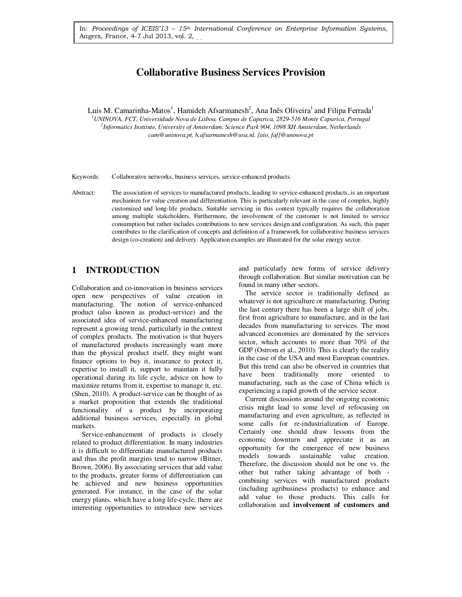## **Collaborative Business Services Provision**

Luis M. Camarinha-Matos<sup>1</sup>, Hamideh Afsarmanesh<sup>2</sup>, Ana Inês Oliveira<sup>1</sup> and Filipa Ferrada<sup>1</sup> *<sup>1</sup>UNINOVA, FCT, Universidade Nova de Lisboa, Campus de Caparica, 2829-516 Monte Caparica, Portugal 2 Informatics Institute, University of Amsterdam, Science Park 904, 1098 XH Amsterdam, Netherlands cam@uninova.pt, h.afsarmanesh@uva.nl, {aio, faf}@uninova.pt* 

Keywords: Collaborative networks, business services, service-enhanced products.

Abstract: The association of services to manufactured products, leading to service-enhanced products, is an important mechanism for value creation and differentiation. This is particularly relevant in the case of complex, highly customized and long-life products. Suitable servicing in this context typically requires the collaboration among multiple stakeholders. Furthermore, the involvement of the customer is not limited to service consumption but rather includes contributions to new services design and configuration. As such, this paper contributes to the clarification of concepts and definition of a framework for collaborative business services design (co-creation) and delivery. Application examples are illustrated for the solar energy sector.

## **1 INTRODUCTION**

Collaboration and co-innovation in business services open new perspectives of value creation in manufacturing. The notion of service-enhanced product (also known as product-service) and the associated idea of service-enhanced manufacturing represent a growing trend, particularly in the context of complex products. The motivation is that buyers of manufactured products increasingly want more than the physical product itself, they might want finance options to buy it, insurance to protect it, expertise to install it, support to maintain it fully operational during its life cycle, advice on how to maximize returns from it, expertise to manage it, etc. (Shen, 2010). A product-service can be thought of as a market proposition that extends the traditional functionality of a product by incorporating additional business services, especially in global markets.

Service-enhancement of products is closely related to product differentiation. In many industries it is difficult to differentiate manufactured products and thus the profit margins tend to narrow (Bitner, Brown, 2006). By associating services that add value to the products, greater forms of differentiation can be achieved and new business opportunities generated. For instance, in the case of the solar energy plants, which have a long life-cycle, there are interesting opportunities to introduce new services and particularly new forms of service delivery through collaboration. But similar motivation can be found in many other sectors.

The service sector is traditionally defined as whatever is not agriculture or manufacturing. During the last century there has been a large shift of jobs, first from agriculture to manufacture, and in the last decades from manufacturing to services. The most advanced economies are dominated by the services sector, which accounts to more than 70% of the GDP (Ostrom et al., 2010). This is clearly the reality in the case of the USA and most European countries. But this trend can also be observed in countries that have been traditionally more oriented to manufacturing, such as the case of China which is experiencing a rapid growth of the service sector.

Current discussions around the ongoing economic crisis might lead to some level of refocusing on manufacturing and even agriculture, as reflected in some calls for re-industrialization of Europe. Certainly one should draw lessons from the economic downturn and appreciate it as an opportunity for the emergence of new business models towards sustainable value creation. Therefore, the discussion should not be one vs. the other but rather taking advantage of both combining services with manufactured products (including agribusiness products) to enhance and add value to those products. This calls for collaboration and **involvement of customers and**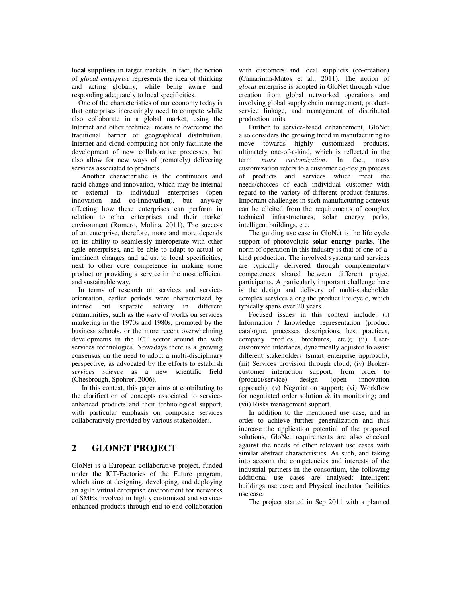**local suppliers** in target markets. In fact, the notion of *glocal enterprise* represents the idea of thinking and acting globally, while being aware and responding adequately to local specificities.

One of the characteristics of our economy today is that enterprises increasingly need to compete while also collaborate in a global market, using the Internet and other technical means to overcome the traditional barrier of geographical distribution. Internet and cloud computing not only facilitate the development of new collaborative processes, but also allow for new ways of (remotely) delivering services associated to products.

Another characteristic is the continuous and rapid change and innovation, which may be internal or external to individual enterprises (open innovation and **co-innovation**), but anyway affecting how these enterprises can perform in relation to other enterprises and their market environment (Romero, Molina, 2011). The success of an enterprise, therefore, more and more depends on its ability to seamlessly interoperate with other agile enterprises, and be able to adapt to actual or imminent changes and adjust to local specificities, next to other core competence in making some product or providing a service in the most efficient and sustainable way.

In terms of research on services and serviceorientation, earlier periods were characterized by intense but separate activity in different communities, such as the *wave* of works on services marketing in the 1970s and 1980s, promoted by the business schools, or the more recent overwhelming developments in the ICT sector around the web services technologies. Nowadays there is a growing consensus on the need to adopt a multi-disciplinary perspective, as advocated by the efforts to establish *services science* as a new scientific field (Chesbrough, Spohrer, 2006).

In this context, this paper aims at contributing to the clarification of concepts associated to serviceenhanced products and their technological support, with particular emphasis on composite services collaboratively provided by various stakeholders.

## **2 GLONET PROJECT**

GloNet is a European collaborative project, funded under the ICT-Factories of the Future program, which aims at designing, developing, and deploying an agile virtual enterprise environment for networks of SMEs involved in highly customized and serviceenhanced products through end-to-end collaboration with customers and local suppliers (co-creation) (Camarinha-Matos et al., 2011). The notion of *glocal* enterprise is adopted in GloNet through value creation from global networked operations and involving global supply chain management, productservice linkage, and management of distributed production units.

Further to service-based enhancement, GloNet also considers the growing trend in manufacturing to move towards highly customized products, ultimately one-of-a-kind, which is reflected in the term *mass customization*. In fact, mass customization refers to a customer co-design process of products and services which meet the needs/choices of each individual customer with regard to the variety of different product features. Important challenges in such manufacturing contexts can be elicited from the requirements of complex technical infrastructures, solar energy parks, intelligent buildings, etc.

The guiding use case in GloNet is the life cycle support of photovoltaic **solar energy parks**. The norm of operation in this industry is that of one-of-akind production. The involved systems and services are typically delivered through complementary competences shared between different project participants. A particularly important challenge here is the design and delivery of multi-stakeholder complex services along the product life cycle, which typically spans over 20 years.

Focused issues in this context include: (i) Information / knowledge representation (product catalogue, processes descriptions, best practices, company profiles, brochures, etc.); (ii) Usercustomized interfaces, dynamically adjusted to assist different stakeholders (smart enterprise approach); (iii) Services provision through cloud; (iv) Brokercustomer interaction support: from order to (product/service) design (open innovation approach); (v) Negotiation support; (vi) Workflow for negotiated order solution  $\&$  its monitoring; and (vii) Risks management support.

In addition to the mentioned use case, and in order to achieve further generalization and thus increase the application potential of the proposed solutions, GloNet requirements are also checked against the needs of other relevant use cases with similar abstract characteristics. As such, and taking into account the competencies and interests of the industrial partners in the consortium, the following additional use cases are analysed: Intelligent buildings use case; and Physical incubator facilities use case.

The project started in Sep 2011 with a planned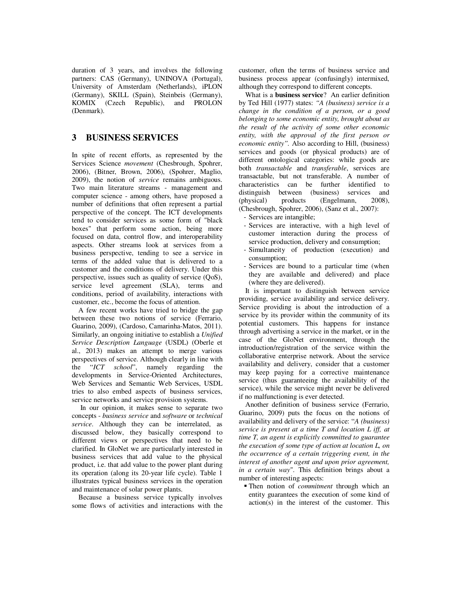duration of 3 years, and involves the following partners: CAS (Germany), UNINOVA (Portugal), University of Amsterdam (Netherlands), iPLON (Germany), SKILL (Spain), Steinbeis (Germany), KOMIX (Czech Republic), and PROLON (Denmark).

#### **3 BUSINESS SERVICES**

In spite of recent efforts, as represented by the Services Science *movement* (Chesbrough, Spohrer, 2006), (Bitner, Brown, 2006), (Spohrer, Maglio, 2009), the notion of *service* remains ambiguous. Two main literature streams - management and computer science - among others, have proposed a number of definitions that often represent a partial perspective of the concept. The ICT developments tend to consider services as some form of "black boxes" that perform some action, being more focused on data, control flow, and interoperability aspects. Other streams look at services from a business perspective, tending to see a service in terms of the added value that is delivered to a customer and the conditions of delivery. Under this perspective, issues such as quality of service (QoS), service level agreement (SLA), terms and conditions, period of availability, interactions with customer, etc., become the focus of attention.

A few recent works have tried to bridge the gap between these two notions of service (Ferrario, Guarino, 2009), (Cardoso, Camarinha-Matos, 2011). Similarly, an ongoing initiative to establish a *Unified Service Description Language* (USDL) (Oberle et al., 2013) makes an attempt to merge various perspectives of service. Although clearly in line with the "*ICT school*", namely regarding the developments in Service-Oriented Architectures, Web Services and Semantic Web Services, USDL tries to also embed aspects of business services, service networks and service provision systems.

 In our opinion, it makes sense to separate two concepts - *business service* and *software* or *technical service*. Although they can be interrelated, as discussed below, they basically correspond to different views or perspectives that need to be clarified. In GloNet we are particularly interested in business services that add value to the physical product, i.e. that add value to the power plant during its operation (along its 20-year life cycle). Table 1 illustrates typical business services in the operation and maintenance of solar power plants.

Because a business service typically involves some flows of activities and interactions with the customer, often the terms of business service and business process appear (confusingly) intermixed, although they correspond to different concepts.

What is a **business service**? An earlier definition by Ted Hill (1977) states: *"A (business) service is a change in the condition of a person, or a good belonging to some economic entity, brought about as the result of the activity of some other economic entity, with the approval of the first person or economic entity".* Also according to Hill, (business) services and goods (or physical products) are of different ontological categories: while goods are both *transactable* and *transferable*, services are transactable, but not transferable. A number of characteristics can be further identified to distinguish between (business) services and (physical) products (Engelmann, 2008), (Chesbrough, Spohrer, 2006), (Sanz et al., 2007):

- Services are intangible;

- Services are interactive, with a high level of customer interaction during the process of service production, delivery and consumption;
- Simultaneity of production (execution) and consumption;
- Services are bound to a particular time (when they are available and delivered) and place (where they are delivered).

It is important to distinguish between service providing, service availability and service delivery. Service providing is about the introduction of a service by its provider within the community of its potential customers. This happens for instance through advertising a service in the market, or in the case of the GloNet environment, through the introduction/registration of the service within the collaborative enterprise network. About the service availability and delivery, consider that a customer may keep paying for a corrective maintenance service (thus guaranteeing the availability of the service), while the service might never be delivered if no malfunctioning is ever detected.

Another definition of business service (Ferrario, Guarino, 2009) puts the focus on the notions of availability and delivery of the service: "*A (business) service is present at a time T and location L iff, at time T, an agent is explicitly committed to guarantee the execution of some type of action at location L, on the occurrence of a certain triggering event, in the interest of another agent and upon prior agreement, in a certain way*". This definition brings about a number of interesting aspects:

 Then notion of *commitment* through which an entity guarantees the execution of some kind of action(s) in the interest of the customer. This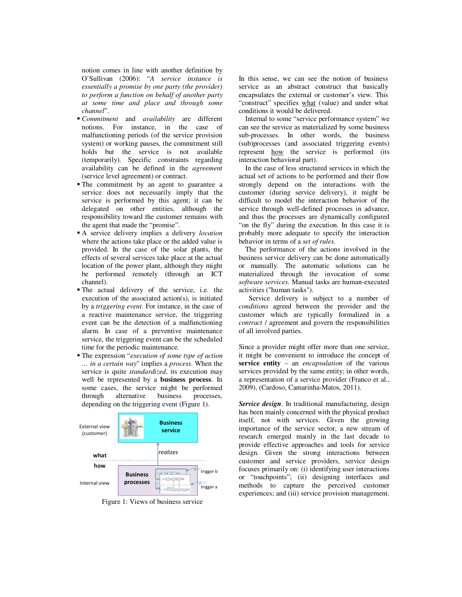notion comes in line with another definition by O'Sullivan (2006): "*A service instance is essentially a promise by one party (the provider) to perform a function on behalf of another party at some time and place and through some channel*".

- *Commitment* and *availability* are different notions. For instance, in the case of malfunctioning periods (of the service provision system) or working pauses, the commitment still holds but the service is not available (temporarily). Specific constraints regarding availability can be defined in the *agreement* (service level agreement) or contract.
- The commitment by an agent to guarantee a service does not necessarily imply that the service is performed by this agent; it can be delegated on other entities, although the responsibility toward the customer remains with the agent that made the "promise".
- A service delivery implies a delivery *location* where the actions take place or the added value is provided. In the case of the solar plants, the effects of several services take place at the actual location of the power plant, although they might be performed remotely (through an ICT channel).
- The actual delivery of the service, i.e. the execution of the associated action(s), is initiated by a *triggering event*. For instance, in the case of a reactive maintenance service, the triggering event can be the detection of a malfunctioning alarm. In case of a preventive maintenance service, the triggering event can be the scheduled time for the periodic maintenance.
- The expression "*execution of some type of action … in a certain way*" implies a *process*. When the service is quite *standardized*, its execution may well be represented by a **business process**. In some cases, the service might be performed through alternative business processes, depending on the triggering event (Figure 1).



Figure 1: Views of business service

In this sense, we can see the notion of business service as an abstract construct that basically encapsulates the external or customer's view. This "construct" specifies what (value) and under what conditions it would be delivered.

Internal to some "service performance system" we can see the service as materialized by some business sub-processes. In other words, the business (sub)processes (and associated triggering events) represent how the service is performed (its interaction behavioral part).

In the case of less structured services in which the actual set of actions to be performed and their flow strongly depend on the interactions with the customer (during service delivery), it might be difficult to model the interaction behavior of the service through well-defined processes in advance, and thus the processes are dynamically configured "on the fly" during the execution. In this case it is probably more adequate to specify the interaction behavior in terms of a *set of rules*.

The performance of the actions involved in the business service delivery can be done automatically or manually. The automatic solutions can be materialized through the invocation of some *software services*. Manual tasks are human-executed activities ("human tasks").

Service delivery is subject to a number of *conditions* agreed between the provider and the customer which are typically formalized in a *contract* / agreement and govern the responsibilities of all involved parties.

Since a provider might offer more than one service, it might be convenient to introduce the concept of **service entity** – an *encapsulation* of the various services provided by the same entity; in other words, a representation of a service provider (Franco et al., 2009), (Cardoso, Camarinha-Matos, 2011).

*Service design*. In traditional manufacturing, design has been mainly concerned with the physical product itself, not with services. Given the growing importance of the service sector, a new stream of research emerged mainly in the last decade to provide effective approaches and tools for service design. Given the strong interactions between customer and service providers, service design focuses primarily on: (i) identifying user interactions or "touchpoints"; (ii) designing interfaces and methods to capture the perceived customer experiences; and (iii) service provision management.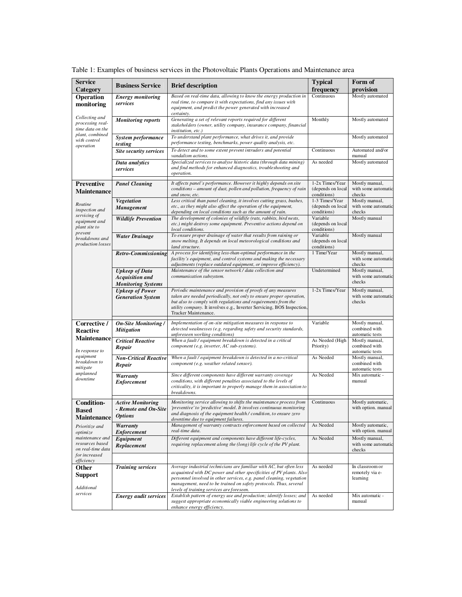| <b>Service</b>                                                           | <b>Business Service</b>                                                      | <b>Brief description</b>                                                                                                                                                                                                                                                                                                                                                                                      | <b>Typical</b><br>frequency                         | Form of<br>provision                                              |
|--------------------------------------------------------------------------|------------------------------------------------------------------------------|---------------------------------------------------------------------------------------------------------------------------------------------------------------------------------------------------------------------------------------------------------------------------------------------------------------------------------------------------------------------------------------------------------------|-----------------------------------------------------|-------------------------------------------------------------------|
| Category<br>Operation<br>monitoring                                      | <b>Energy</b> monitoring<br>services                                         | Based on real-time data, allowing to know the energy production in<br>real time, to compare it with expectations, find any issues with<br>equipment, and predict the power generated with increased<br>certainty.                                                                                                                                                                                             | Continuous                                          | Mostly automated                                                  |
| Collecting and<br>processing real-<br>time data on the                   | <b>Monitoring reports</b>                                                    | Generating a set of relevant reports required for different<br>stakeholders (owner, utility company, insurance company, financial<br>institution, etc.)                                                                                                                                                                                                                                                       | Monthly                                             | Mostly automated                                                  |
| plant, combined<br>with control<br>operation                             | System performance<br>testing                                                | To understand plant performance, what drives it, and provide<br>performance testing, benchmarks, power quality analysis, etc.                                                                                                                                                                                                                                                                                 |                                                     | Mostly automated                                                  |
|                                                                          | Site security services                                                       | To detect and to some extent prevent intruders and potential<br>vandalism actions.                                                                                                                                                                                                                                                                                                                            | Continuous                                          | Automated and/or<br>manual                                        |
|                                                                          | Data analytics<br>services                                                   | Specialized services to analyse historic data (through data mining)<br>and find methods for enhanced diagnostics, troubleshooting and<br>operation.                                                                                                                                                                                                                                                           | As needed                                           | Mostly automated                                                  |
| <b>Preventive</b><br><b>Maintenance</b>                                  | <b>Panel Cleaning</b>                                                        | It affects panel's performance. However it highly depends on site<br>conditions – amount of dust, pollen and pollution, frequency of rain<br>and snow, etc.                                                                                                                                                                                                                                                   | 1-2x Times/Year<br>(depends on local<br>conditions) | Mostly manual,<br>with some automatic<br>checks                   |
| Routine<br>inspection and<br>servicing of                                | <b>Vegetation</b><br><b>Management</b>                                       | Less critical than panel cleaning, it involves cutting grass, bushes,<br>etc., as they might also affect the operation of the equipment,<br>depending on local conditions such as the amount of rain.                                                                                                                                                                                                         | 1-3 Times/Year<br>(depends on local<br>conditions)  | Mostly manual,<br>with some automatic<br>checks                   |
| equipment and<br>plant site to                                           | <b>Wildlife Prevention</b>                                                   | The development of colonies of wildlife (rats, rabbits, bird nests,<br>etc.) might destroy some equipment. Preventive actions depend on<br>local conditions.                                                                                                                                                                                                                                                  | Variable<br>(depends on local<br>conditions)        | Mostly manual                                                     |
| prevent<br>breakdowns and<br>production losses                           | <b>Water Drainage</b>                                                        | To ensure proper drainage of water that results from raining or<br>snow melting. It depends on local meteorological conditions and<br>land structure.                                                                                                                                                                                                                                                         | Variable<br>(depends on local<br>conditions)        | Mostly manual                                                     |
|                                                                          | <b>Retro-Commissioning</b>                                                   | A process for identifying less-than-optimal performance in the<br>facility's equipment, and control systems and making the necessary<br>adjustments (replace outdated equipment, or improve efficiency).                                                                                                                                                                                                      | 1 Time/Year                                         | Mostly manual,<br>with some automatic<br>checks                   |
|                                                                          | <b>Upkeep of Data</b><br><b>Acquisition and</b><br><b>Monitoring Systems</b> | Maintenance of the sensor network / data collection and<br>communication subsystem.                                                                                                                                                                                                                                                                                                                           | Undetermined                                        | Mostly manual,<br>with some automatic<br>checks                   |
|                                                                          | <b>Upkeep of Power</b><br><b>Generation System</b>                           | Periodic maintenance and provision of proofs of any measures<br>taken are needed periodically, not only to ensure proper operation,<br>but also to comply with regulations and requirements from the<br><i>utility company</i> . It involves e.g., Inverter Servicing, BOS Inspection,<br>Tracker Maintenance.                                                                                                | 1-2x Times/Year                                     | Mostly manual,<br>with some automatic<br>checks                   |
| Corrective /<br>Reactive                                                 | <b>On-Site Monitoring</b> /<br><b>Mitigation</b>                             | Implementation of on-site mitigation measures in response to<br>detected weaknesses (e.g. regarding safety and security standards,<br>unforeseen working conditions)                                                                                                                                                                                                                                          | Variable                                            | Mostly manual,<br>combined with<br>automatic tests                |
| Maintenance<br>In response to                                            | <b>Critical Reactive</b><br>Repair                                           | When a fault / equipment breakdown is detected in a critical<br>component (e.g. inverter, AC sub-systems).                                                                                                                                                                                                                                                                                                    | As Needed (High<br>Priority)                        | Mostly manual,<br>combined with<br>automatic tests                |
| equipment<br>breakdown to<br>mitigate<br>unplanned<br>downtime           | <b>Non-Critical Reactive</b><br>Repair                                       | When a fault / equipment breakdown is detected in a no-critical<br>component (e.g. weather related sensor).                                                                                                                                                                                                                                                                                                   | As Needed                                           | Mostly manual,<br>combined with<br>automatic tests                |
|                                                                          | Warranty<br><b>Enforcement</b>                                               | Since different components have different warranty coverage<br>conditions, with different penalties associated to the levels of<br>criticality, it is important to properly manage them in association to<br>breakdowns.                                                                                                                                                                                      | As Needed                                           | Mix automatic -<br>manual                                         |
| <b>Condition-</b><br>Based<br><b>Maintenance</b>                         | <b>Active Monitoring</b><br>- Remote and On-Site<br><b>Options</b>           | Monitoring service allowing to shifts the maintenance process from<br>'preventive' to 'predictive' model. It involves continuous monitoring<br>and diagnosis of the equipment health / condition, to ensure zero<br>downtime due to equipment failures.                                                                                                                                                       | Continuous                                          | Mostly automatic,<br>with option. manual                          |
| Prioritize and<br>optimize                                               | Warranty<br><b>Enforcement</b>                                               | Management of warranty contracts enforcement based on collected<br>real-time data.                                                                                                                                                                                                                                                                                                                            | As Needed                                           | Mostly automatic,<br>with option. manual                          |
| maintenance and<br>resources based<br>on real-time data<br>for increased | Equipment<br>Replacement                                                     | Different equipment and components have different life-cycles,<br>requiring replacement along the (long) life cycle of the PV plant.                                                                                                                                                                                                                                                                          | As Needed                                           | Mostly manual,<br>with some automatic<br>checks                   |
| efficiency<br>Other<br><b>Support</b><br>Additional<br>services          | <b>Training services</b><br><b>Energy</b> audit services                     | Average industrial technicians are familiar with AC, but often less<br>acquainted with DC power and other specificities of PV plants. Also<br>personnel involved in other services, e.g. panel cleaning, vegetation<br>management, need to be trained on safety protocols. Thus, several<br>levels of training services are foreseen.<br>Establish pattern of energy use and production; identify losses; and | As needed<br>As needed                              | In classroom or<br>remotely via e-<br>learning<br>Mix automatic - |
|                                                                          |                                                                              | suggest appropriate economically viable engineering solutions to<br>enhance energy efficiency.                                                                                                                                                                                                                                                                                                                |                                                     | manual                                                            |

Table 1: Examples of business services in the Photovoltaic Plants Operations and Maintenance area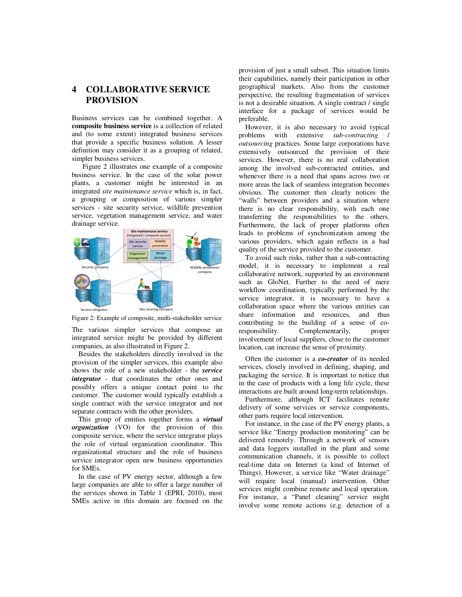## **4 COLLABORATIVE SERVICE PROVISION**

Business services can be combined together. A **composite business service** is a collection of related and (to some extent) integrated business services that provide a specific business solution. A lesser definition may consider it as a grouping of related, simpler business services.

Figure 2 illustrates one example of a composite business service. In the case of the solar power plants, a customer might be interested in an integrated *site maintenance service* which is, in fact, a grouping or composition of various simpler services - site security service, wildlife prevention service, vegetation management service, and water drainage service.



Figure 2: Example of composite, multi-stakeholder service

The various simpler services that compose an integrated service might be provided by different companies, as also illustrated in Figure 2.

Besides the stakeholders directly involved in the provision of the simpler services, this example also shows the role of a new stakeholder - the *service integrator* - that coordinates the other ones and possibly offers a unique contact point to the customer. The customer would typically establish a single contract with the service integrator and not separate contracts with the other providers.

This group of entities together forms a *virtual organization* (VO) for the provision of this composite service, where the service integrator plays the role of virtual organization coordinator. This organizational structure and the role of business service integrator open new business opportunities for SMEs.

In the case of PV energy sector, although a few large companies are able to offer a large number of the services shown in Table 1 (EPRI, 2010), most SMEs active in this domain are focused on the provision of just a small subset. This situation limits their capabilities, namely their participation in other geographical markets. Also from the customer perspective, the resulting fragmentation of services is not a desirable situation. A single contract / single interface for a package of services would be preferable.

However, it is also necessary to avoid typical problems with extensive *sub-contracting* / *outsourcing* practices. Some large corporations have extensively outsourced the provision of their services. However, there is no real collaboration among the involved sub-contracted entities, and whenever there is a need that spans across two or more areas the lack of seamless integration becomes obvious. The customer then clearly notices the "walls" between providers and a situation where there is no clear responsibility, with each one transferring the responsibilities to the others. Furthermore, the lack of proper platforms often leads to problems of synchronization among the various providers, which again reflects in a bad quality of the service provided to the customer.

To avoid such risks, rather than a sub-contracting model, it is necessary to implement a real collaborative network, supported by an environment such as GloNet. Further to the need of mere workflow coordination, typically performed by the service integrator, it is necessary to have a collaboration space where the various entities can share information and resources, and thus contributing to the building of a sense of co-<br>responsibility. Complementarily, proper Complementarily, proper involvement of local suppliers, close to the customer location, can increase the sense of proximity.

Often the customer is a *co-creator* of its needed services, closely involved in defining, shaping, and packaging the service. It is important to notice that in the case of products with a long life cycle, these interactions are built around long-term relationships.

Furthermore, although ICT facilitates remote delivery of some services or service components, other parts require local intervention.

For instance, in the case of the PV energy plants, a service like "Energy production monitoring" can be delivered remotely. Through a network of sensors and data loggers installed in the plant and some communication channels, it is possible to collect real-time data on Internet (a kind of Internet of Things). However, a service like "Water drainage" will require local (manual) intervention. Other services might combine remote and local operation. For instance, a "Panel cleaning" service might involve some remote actions (e.g. detection of a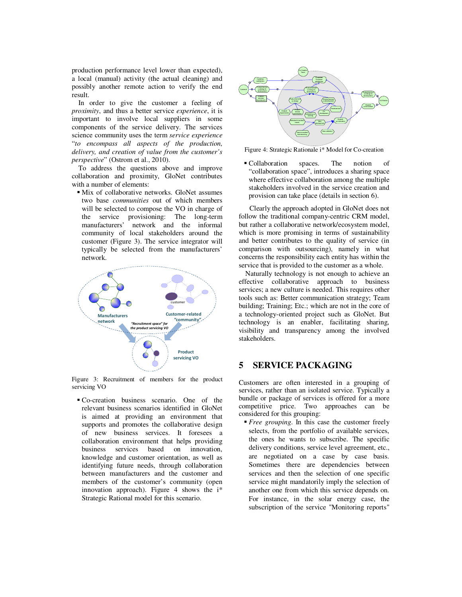production performance level lower than expected), a local (manual) activity (the actual cleaning) and possibly another remote action to verify the end result.

In order to give the customer a feeling of *proximity*, and thus a better service *experience*, it is important to involve local suppliers in some components of the service delivery. The services science community uses the term *service experience* "*to encompass all aspects of the production, delivery, and creation of value from the customer's perspective*" (Ostrom et al., 2010).

To address the questions above and improve collaboration and proximity, GloNet contributes with a number of elements:

 Mix of collaborative networks. GloNet assumes two base *communities* out of which members will be selected to compose the VO in charge of the service provisioning: The long-term manufacturers' network and the informal community of local stakeholders around the customer (Figure 3). The service integrator will typically be selected from the manufacturers' network.



Figure 3: Recruitment of members for the product servicing VO

 Co-creation business scenario. One of the relevant business scenarios identified in GloNet is aimed at providing an environment that supports and promotes the collaborative design of new business services. It foresees a collaboration environment that helps providing business services based on innovation, knowledge and customer orientation, as well as identifying future needs, through collaboration between manufacturers and the customer and members of the customer's community (open innovation approach). Figure 4 shows the i\* Strategic Rational model for this scenario.



Figure 4: Strategic Rationale i\* Model for Co-creation

 Collaboration spaces. The notion of "collaboration space", introduces a sharing space where effective collaboration among the multiple stakeholders involved in the service creation and provision can take place (details in section 6).

Clearly the approach adopted in GloNet does not follow the traditional company-centric CRM model, but rather a collaborative network/ecosystem model, which is more promising in terms of sustainability and better contributes to the quality of service (in comparison with outsourcing), namely in what concerns the responsibility each entity has within the service that is provided to the customer as a whole.

Naturally technology is not enough to achieve an effective collaborative approach to business services; a new culture is needed. This requires other tools such as: Better communication strategy; Team building; Training; Etc.; which are not in the core of a technology-oriented project such as GloNet. But technology is an enabler, facilitating sharing, visibility and transparency among the involved stakeholders.

## **5 SERVICE PACKAGING**

Customers are often interested in a grouping of services, rather than an isolated service. Typically a bundle or package of services is offered for a more competitive price. Two approaches can be considered for this grouping:

*Free grouping*. In this case the customer freely selects, from the portfolio of available services, the ones he wants to subscribe. The specific delivery conditions, service level agreement, etc., are negotiated on a case by case basis. Sometimes there are dependencies between services and then the selection of one specific service might mandatorily imply the selection of another one from which this service depends on. For instance, in the solar energy case, the subscription of the service "Monitoring reports"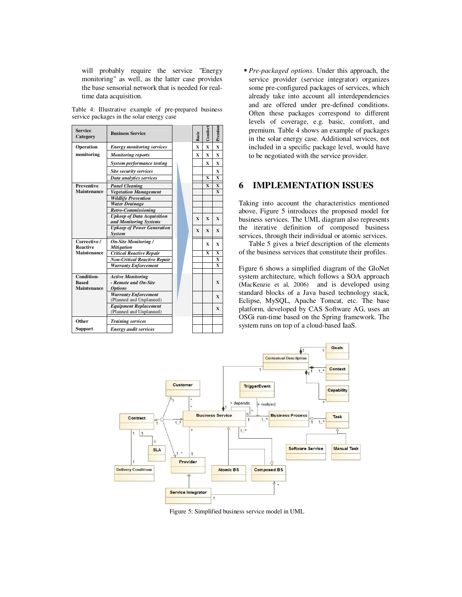will probably require the service "Energy monitoring" as well, as the latter case provides the base sensorial network that is needed for realtime data acquisition.

|  |                                           |  | Table 4: Illustrative example of pre-prepared business |  |
|--|-------------------------------------------|--|--------------------------------------------------------|--|
|  | service packages in the solar energy case |  |                                                        |  |

| <b>Service</b><br>Category     | <b>Business Service</b>                                     |  | Basic        | Comfort      | Premium                 |
|--------------------------------|-------------------------------------------------------------|--|--------------|--------------|-------------------------|
| Operation                      | <b>Energy monitoring services</b>                           |  | $\mathbf{x}$ | $\mathbf{x}$ | $\overline{\mathbf{x}}$ |
| monitoring                     | <b>Monitoring reports</b>                                   |  | X            | $\mathbf{x}$ | X                       |
|                                | System performance testing                                  |  |              | X            | X                       |
|                                | Site security services                                      |  |              |              | X                       |
|                                | Data analytics services                                     |  |              | $\mathbf x$  | $\mathbf x$             |
| Preventive                     | <b>Panel Cleaning</b>                                       |  |              | $\mathbf{x}$ | $\mathbf x$             |
| Maintenance                    | <b>Vegetation Management</b>                                |  |              |              | $\mathbf{x}$            |
|                                | <b>Wildlife Prevention</b>                                  |  |              |              |                         |
|                                | <b>Water Drainage</b>                                       |  |              |              |                         |
|                                | <b>Retro-Commissioning</b>                                  |  |              |              |                         |
|                                | <b>Upkeep of Data Acquisition</b><br>and Monitoring Systems |  | $\mathbf{x}$ | $\mathbf{x}$ | $\mathbf{x}$            |
|                                | <b>Upkeep of Power Generation</b>                           |  | X            | $\mathbf{x}$ | $\mathbf{x}$            |
|                                | <b>System</b>                                               |  |              |              |                         |
| Corrective/                    | <b>On-Site Monitoring /</b>                                 |  |              | $\mathbf{x}$ | $\mathbf{x}$            |
| <b>Reactive</b><br>Maintenance | <b>Mitigation</b>                                           |  |              | $\mathbf{x}$ | $\mathbf{x}$            |
|                                | <b>Critical Reactive Repair</b>                             |  |              |              | X                       |
|                                | <b>Non-Critical Reactive Repair</b>                         |  |              |              | $\mathbf{x}$            |
|                                | Warranty Enforcement                                        |  |              |              |                         |
| Condition-                     | <b>Active Monitoring</b>                                    |  |              |              |                         |
| <b>Based</b>                   | - Remote and On-Site                                        |  |              |              | X                       |
| Maintenance                    | <b>Options</b>                                              |  |              |              |                         |
|                                | <b>Warranty Enforcement</b>                                 |  |              |              | X                       |
|                                | (Planned and Unplanned)                                     |  |              |              |                         |
|                                | <b>Equipment Replacement</b><br>(Planned and Unplanned)     |  |              |              | X                       |
| Other                          | <b>Training services</b>                                    |  |              |              |                         |
| <b>Support</b>                 | <b>Energy</b> audit services                                |  |              |              |                         |

 *Pre-packaged options*. Under this approach, the service provider (service integrator) organizes some pre-configured packages of services, which already take into account all interdependencies and are offered under pre-defined conditions. Often these packages correspond to different levels of coverage, e.g. basic, comfort, and premium. Table 4 shows an example of packages in the solar energy case. Additional services, not included in a specific package level, would have to be negotiated with the service provider.

#### **6 IMPLEMENTATION ISSUES**

Taking into account the characteristics mentioned above, Figure 5 introduces the proposed model for business services. The UML diagram also represents the iterative definition of composed business services, through their individual or atomic services.

Table 5 gives a brief description of the elements of the business services that constitute their profiles.

Figure 6 shows a simplified diagram of the GloNet system architecture, which follows a SOA approach (MacKenzie et al, 2006) and is developed using standard blocks of a Java based technology stack, Eclipse, MySQL, Apache Tomcat, etc. The base platform, developed by CAS Software AG, uses an OSGi run-time based on the Spring framework. The system runs on top of a cloud-based IaaS.



Figure 5: Simplified business service model in UML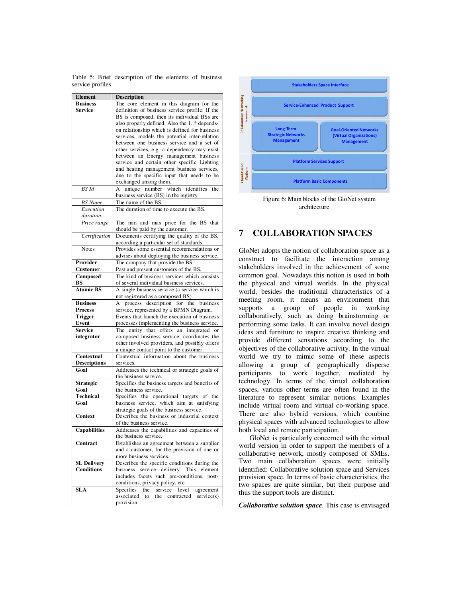Table 5: Brief description of the elements of business service profiles

| <b>Element</b>        | <b>Description</b>                                                                    |
|-----------------------|---------------------------------------------------------------------------------------|
| <b>Business</b>       | The core element in this diagram for the                                              |
| <b>Service</b>        | definition of business service profile. If the                                        |
|                       | BS is composed, then its individual BSs are                                           |
|                       | also properly defined. Also the 1* depends-                                           |
|                       | on relationship which is defined for business                                         |
|                       | services, models the potential inter-relation                                         |
|                       | between one business service and a set of                                             |
|                       | other services, e.g. a dependency may exist                                           |
|                       | between an Energy management business                                                 |
|                       | service and certain other specific Lighting                                           |
|                       | and heating management business services,                                             |
|                       | due to the specific input that needs to be                                            |
|                       | exchanged among them.                                                                 |
| BS Id                 | A unique number which identifies<br>the                                               |
|                       | business service (BS) in the registry.                                                |
| BS Name               | The name of the BS.                                                                   |
| Execution<br>duration | The duration of time to execute the BS.                                               |
| Price range           | The min and max price for the BS that                                                 |
|                       | should be paid by the customer.                                                       |
| Certification         | Documents certifying the quality of the BS,                                           |
|                       | according a particular set of standards.                                              |
| Notes                 | Provides some essential recommendations or                                            |
|                       | advises about deploying the business service.                                         |
| Provider              | The company that provide the BS.                                                      |
| <b>Customer</b>       | Past and present customers of the BS.                                                 |
| Composed              | The kind of business services which consists                                          |
| BS                    | of several individual business services.                                              |
| <b>Atomic BS</b>      | A single business service (a service which is                                         |
|                       | not registered as a composed BS).                                                     |
| <b>Business</b>       | A process description for the business                                                |
| Process               | service, represented by a BPMN Diagram.                                               |
| Trigger<br>Event      | Events that launch the execution of business                                          |
| <b>Service</b>        | processes implementing the business service.                                          |
| integrator            | The entity that offers an integrated or<br>composed business service, coordinates the |
|                       | other involved providers, and possibly offers                                         |
|                       | a unique contact point to the customer.                                               |
| Contextual            | Contextual information about the business                                             |
| <b>Descriptions</b>   | services.                                                                             |
| Goal                  | Addresses the technical or strategic goals of                                         |
|                       | the business service.                                                                 |
| Strategic             | Specifies the business targets and benefits of                                        |
| Goal                  | the business service.                                                                 |
| <b>Technical</b>      | Specifies the operational targets of the                                              |
| Goal                  | business service, which aim at satisfying                                             |
|                       | strategic goals of the business service.                                              |
| <b>Context</b>        | Describes the business or industrial context                                          |
|                       | of the business service.                                                              |
| Capabilities          | Addresses the capabilities and capacities of                                          |
|                       | the business service.<br>Establishes an agreement between a supplier                  |
| Contract              | and a customer, for the provision of one or                                           |
|                       | more business services.                                                               |
| <b>SL</b> Delivery    | Describes the specific conditions during the                                          |
| <b>Conditions</b>     | service delivery. This element<br>business                                            |
|                       | includes facets such pre-conditions, post-                                            |
|                       | conditions, privacy policy, etc.                                                      |
| <b>SLA</b>            | the<br>service level<br>Specifies<br>agreement                                        |
|                       | associated<br>the<br>contracted<br>service(s)<br>to                                   |
|                       | provision.                                                                            |



Figure 6: Main blocks of the GloNet system architecture

## **7 COLLABORATION SPACES**

GloNet adopts the notion of collaboration space as a construct to facilitate the interaction among stakeholders involved in the achievement of some common goal. Nowadays this notion is used in both the physical and virtual worlds. In the physical world, besides the traditional characteristics of a meeting room, it means an environment that supports a group of people in working collaboratively, such as doing brainstorming or performing some tasks. It can involve novel design ideas and furniture to inspire creative thinking and provide different sensations according to the objectives of the collaborative activity. In the virtual world we try to mimic some of these aspects allowing a group of geographically disperse participants to work together, mediated by technology. In terms of the virtual collaboration spaces, various other terms are often found in the literature to represent similar notions. Examples include virtual room and virtual co-working space. There are also hybrid versions, which combine physical spaces with advanced technologies to allow both local and remote participation.

GloNet is particularly concerned with the virtual world version in order to support the members of a collaborative network, mostly composed of SMEs. Two main collaboration spaces were initially identified: Collaborative solution space and Services provision space. In terms of basic characteristics, the two spaces are quite similar, but their purpose and thus the support tools are distinct.

*Collaborative solution space*. This case is envisaged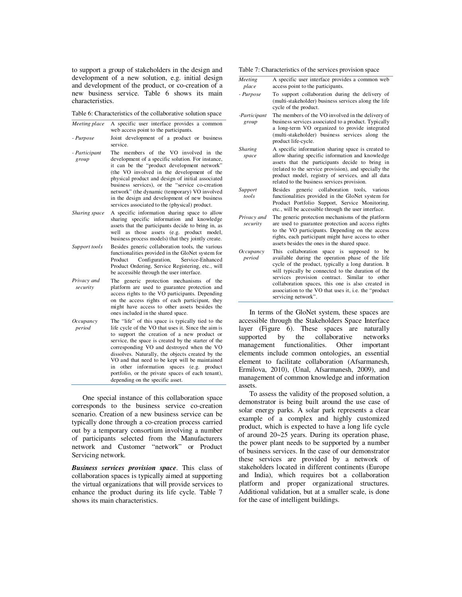to support a group of stakeholders in the design and development of a new solution, e.g. initial design and development of the product, or co-creation of a new business service. Table 6 shows its main characteristics.

Table 6: Characteristics of the collaborative solution space

| Meeting place           | A specific user interface provides a common<br>web access point to the participants.                                                                                                                                                                                                                                                                                                                                                                                                                           |
|-------------------------|----------------------------------------------------------------------------------------------------------------------------------------------------------------------------------------------------------------------------------------------------------------------------------------------------------------------------------------------------------------------------------------------------------------------------------------------------------------------------------------------------------------|
| - Purpose               | Joint development of a product or business<br>service.                                                                                                                                                                                                                                                                                                                                                                                                                                                         |
| - Participant<br>group  | The members of the VO involved in the<br>development of a specific solution. For instance,<br>it can be the "product development network"<br>(the VO involved in the development of the<br>physical product and design of initial associated<br>business services), or the "service co-creation<br>network" (the dynamic (temporary) VO involved<br>in the design and development of new business<br>services associated to the (physical) product.                                                            |
| Sharing space           | A specific information sharing space to allow<br>sharing specific information and knowledge<br>assets that the participants decide to bring in, as<br>well as those assets (e.g. product model,<br>business process models) that they jointly create.                                                                                                                                                                                                                                                          |
| Support tools           | Besides generic collaboration tools, the various<br>functionalities provided in the GloNet system for<br>Configuration,<br>Service-Enhanced<br>Product<br>Product Ordering, Service Registering, etc., will<br>be accessible through the user interface.                                                                                                                                                                                                                                                       |
| Privacy and<br>security | The generic protection mechanisms of<br>the<br>platform are used to guarantee protection and<br>access rights to the VO participants. Depending<br>on the access rights of each participant, they<br>might have access to other assets besides the<br>ones included in the shared space.                                                                                                                                                                                                                       |
| Occupancy<br>period     | The "life" of this space is typically tied to the<br>life cycle of the VO that uses it. Since the aim is<br>to support the creation of a new product or<br>service, the space is created by the starter of the<br>corresponding VO and destroyed when the VO<br>dissolves. Naturally, the objects created by the<br>VO and that need to be kept will be maintained<br>other information spaces (e.g.<br>in<br>product<br>portfolio, or the private spaces of each tenant),<br>depending on the specific asset. |

One special instance of this collaboration space corresponds to the business service co-creation scenario. Creation of a new business service can be typically done through a co-creation process carried out by a temporary consortium involving a number of participants selected from the Manufacturers network and Customer "network" or Product Servicing network.

*Business services provision space*. This class of collaboration spaces is typically aimed at supporting the virtual organizations that will provide services to enhance the product during its life cycle. Table 7 shows its main characteristics.

Table 7: Characteristics of the services provision space

| Meeting<br>place        | A specific user interface provides a common web<br>access point to the participants.                                                                                                                                                                                                                                                                                                                       |
|-------------------------|------------------------------------------------------------------------------------------------------------------------------------------------------------------------------------------------------------------------------------------------------------------------------------------------------------------------------------------------------------------------------------------------------------|
| - Purpose               | To support collaboration during the delivery of<br>(multi-stakeholder) business services along the life<br>cycle of the product.                                                                                                                                                                                                                                                                           |
| -Participant<br>group   | The members of the VO involved in the delivery of<br>business services associated to a product. Typically<br>a long-term VO organized to provide integrated<br>(multi-stakeholder) business services along the<br>product life-cycle.                                                                                                                                                                      |
| <b>Sharing</b><br>space | A specific information sharing space is created to<br>allow sharing specific information and knowledge<br>assets that the participants decide to bring in<br>(related to the service provision), and specially the<br>product model, registry of services, and all data<br>related to the business services provision.                                                                                     |
| Support<br>tools        | collaboration tools, various<br><b>Besides</b><br>generic<br>functionalities provided in the GloNet system for<br>Product Portfolio Support, Service Monitoring,<br>etc., will be accessible through the user interface.                                                                                                                                                                                   |
| Privacy and<br>security | The generic protection mechanisms of the platform<br>are used to guarantee protection and access rights<br>to the VO participants. Depending on the access<br>rights, each participant might have access to other<br>assets besides the ones in the shared space.                                                                                                                                          |
| Occupancy<br>period     | This collaboration space is<br>supposed to<br>be<br>available during the operation phase of the life<br>cycle of the product, typically a long duration. It<br>will typically be connected to the duration of the<br>services provision contract. Similar to<br>other<br>collaboration spaces, this one is also created in<br>association to the VO that uses it, i.e. the "product<br>servicing network". |

In terms of the GloNet system, these spaces are accessible through the Stakeholders Space Interface layer (Figure 6). These spaces are naturally supported by the collaborative networks management functionalities. Other important elements include common ontologies, an essential element to facilitate collaboration (Afsarmanesh, Ermilova, 2010), (Unal, Afsarmanesh, 2009), and management of common knowledge and information assets.

To assess the validity of the proposed solution, a demonstrator is being built around the use case of solar energy parks. A solar park represents a clear example of a complex and highly customized product, which is expected to have a long life cycle of around 20~25 years. During its operation phase, the power plant needs to be supported by a number of business services. In the case of our demonstrator these services are provided by a network of stakeholders located in different continents (Europe and India), which requires bot a collaboration platform and proper organizational structures. Additional validation, but at a smaller scale, is done for the case of intelligent buildings.